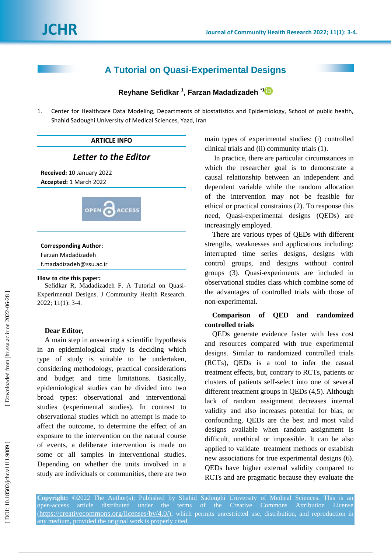# **A Tutorial on Quasi -Experimental Design s**

**Reyhane Sefidkar 1 , Farzan Madadizadeh \* [1](https://orcid.org/0000-0002-5757-182X)**

1 . Center for Healthcare Data Modeling, Departments of biostatistics and Epidemiology, School of public health, Shahid Sadoughi University of Medical Sciences, Yazd, Iran

## **ARTICLE INFO**

# *Letter to the Editor*

**Received:** 10 January 202 2 **Accepted:** 1 March 202 2



### **Corresponding Author:**

Farzan Madadizadeh f.madadizadeh@ssu.ac.ir

#### **How to cite this paper:**

Sefidkar R, Madadizadeh F. A Tutorial on Quasi - Experimental Design s . J Community Health Research. 2022; 11(1): 3-4.

#### **Dear Editor,**

A main step in answering a scientific hypothesis in an epidemiological study is deciding which type of study is suitable to be undertaken, considering methodology, practical considerations and budget and time limitations. Basically, epidemiological studies can be divided into two broad types : observational and interventional studies (experimental studies) . In contrast to observational studies which no attempt is made to affect the outcome, to determine the effect of an exposure to the intervention on the natural course of events , a deliberate intervention is made on some or all samples in interventional studies . Depending on whether the units involved in a study are individuals or communities, there are two

main types of experimental studies: (i) controlled clinical trials and (ii) community trials (1) .

In practice, there are particular circumstances in which the researcher goal is to demonstrate a causal relationship between an [independent and](https://www.scribbr.com/methodology/independent-and-dependent-variables/)  [dependent variable](https://www.scribbr.com/methodology/independent-and-dependent-variables/) while the random allocation of the intervention may not be feasible for ethical or practical constraints (2) . To response this need, Quasi -experimental designs (QEDs) are increasingly employed.

There are various types of QED s with different strengths, weaknesses and applications including: interrupted time series designs, designs with control groups, and designs without control groups (3) . Quasi -experiments are included in observational studies class which combine some of the advantages of controlled trials with those of non -experimental.

## **Comparison of QED and randomized controlled trials**

QEDs generate evidence faster with less cost and resources compared with true experimental designs. Similar to randomized controlled trials (RCTs), QEDs is a tool to infer the casual treatment effects , but, contrary to RCTs, patients or clusters of patients self -select into one of several different treatment groups in QEDs (4,5). Although lack of random assignment decreases internal validity and also increases potential for bias, or confounding , QEDs are the best and most valid designs available when random assignment is difficult, unethical or impossible . It can be also applied to validate treatment methods or establish new associations for true experimental designs (6) . QEDs have higher external validity compared to RCTs and are pragmatic because they evaluate the

**Copyright:** ©2022 The Author(s); Published by Shahid Sadoughi University of Medical Sciences. This is an open-access article distributed under the terms of the Creative Commons Attribution License (<https://creativecommons.org/licenses/by/4.0/>), which permits unrestricted use, distribution, and reproduction in any medium, provided the original work is properly cited.